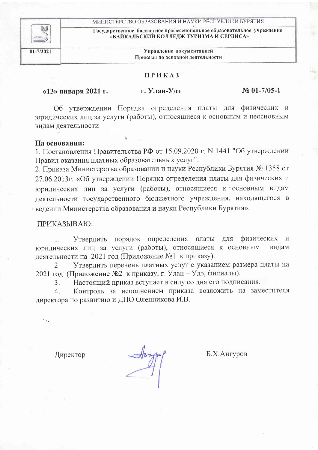$01 - 7/2021$ 

Государственное бюджетное профессиональное образовательное учреждение «БАЙКАЛЬСКИЙ КОЛЛЕДЖ ТУРИЗМА И СЕРВИСА»

> Управление документацией Приказы по основной деятельности

## **ПРИКАЗ**

 $\langle$  (13» января 2021 г.

г. Улан-Улэ

## $N_2$  01-7/05-1

Об утверждении Порядка определения платы для физических и юридических лиц за услуги (работы), относящиеся к основным и неосновным вилам деятельности

#### На основании:

1. Постановления Правительства РФ от 15.09.2020 г. N 1441 "Об утверждении Правил оказания платных образовательных услуг".

2. Приказа Министерства образовании и науки Республики Бурятия № 1358 от 27.06.2013г. «Об утверждении Порядка определения платы для физических и юридических лиц за услуги (работы), относящиеся к основным видам деятельности государственного бюджетного учреждения, находящегося в велении Министерства образования и науки Республики Бурятия».

## ПРИКАЗЫВАЮ:

 $\overline{1}$ . Утвердить порядок определения платы ДЛЯ физических и юридических лиц за услуги (работы), относящиеся к основным видам леятельности на 2021 год (Приложение №1 к приказу).

Утвердить перечень платных услуг с указанием размера платы на 2. 2021 год (Приложение №2 к приказу, г. Улан – Удэ, филиалы).

Настоящий приказ вступает в силу со дня его подписания.  $3.$ 

Контроль за исполнением приказа возложить на заместителя  $\overline{4}$ директора по развитию и ДПО Оленникова И.В.

Директор

 $\mathcal{A}$ 

Б.Х.Ангуров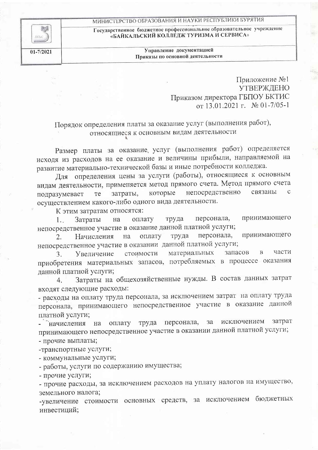

Государственное бюджетное профессиональное образовательное учреждение «БАЙКАЛЬСКИЙ КОЛЛЕДЖ ТУРИЗМА И СЕРВИСА»

> Управление документацией Приказы по основной деятельности

> > Приложение №1 **УТВЕРЖДЕНО** Приказом директора ГБПОУ БКТИС от 13.01.2021 г. № 01-7/05-1

Порядок определения платы за оказание услуг (выполнения работ), относящиеся к основным видам деятельности

Размер платы за оказание, услуг (выполнения работ) определяется исходя из расходов на ее оказание и величины прибыли, направляемой на развитие материально-технической базы и иные потребности колледжа.

Для определения цены за услуги (работы), относящиеся к основным видам деятельности, применяется метод прямого счета. Метод прямого счета непосредственно связаны  $\mathbf{C}$ которые затраты, подразумевает Te осуществлением какого-либо одного вида деятельности.

К этим затратам относятся:

персонала. принимающего труда Затраты оплату  $1<sup>1</sup>$ на непосредственное участие в оказание данной платной услуги;

принимающего труда персонала, оплату  $2.$ Начисления на непосредственное участие в оказании данной платной услуги;

материальных запасов  $\overline{B}$ части стоимости 3. Увеличение приобретения материальных запасов, потребляемых в процессе оказания данной платной услуги;

Затраты на общехозяйственные нужды. В состав данных затрат  $4.$ входят следующие расходы:

- расходы на оплату труда персонала, за исключением затрат на оплату труда персонала, принимающего непосредственное участие в оказание данной платной услуги;

затрат исключением оплату труда персонала,  $3a$ - начисления на принимающего непосредственное участие в оказании данной платной услуги;

- прочие выплаты;

-транспортные услуги;

- коммунальные услуги;

- работы, услуги по содержанию имущества;

- прочие услуги;

- прочие расходы, за исключением расходов на уплату налогов на имущество, земельного налога;

-увеличение стоимости основных средств, за исключением бюджетных инвестиций;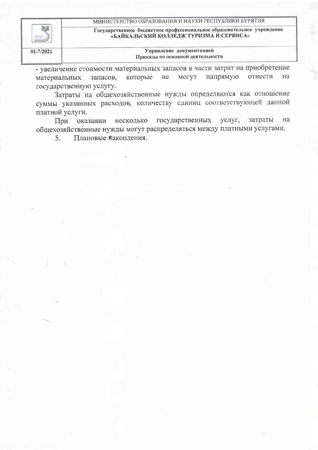$01 - 7/2021$ 

Государственное бюджетное профессиональное образовательное учреждение «БАЙКАЛЬСКИЙ КОЛЛЕДЖ ТУРИЗМА И СЕРВИСА»

Управление документацией Приказы по основной деятельности

- увеличение стоимости материальных запасов в части затрат на приобретение напрямую отнести на которые могут материальных запасов, He государственную услугу.

Затраты на общехозяйственные нужды определяются как отношение суммы указанных расходов, количеству единиц соответствующей данной платной услуги.

государственных затраты на При оказании несколько услуг, общехозяйственные нужды могут распределяться между платными услугами.

Плановые пакопления. 5.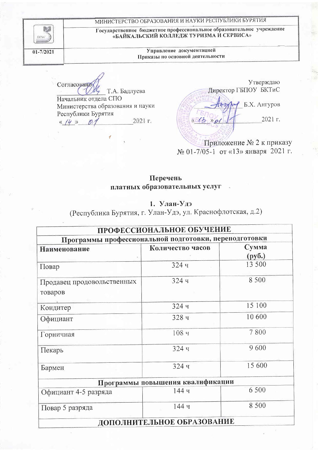Государственное бюджетное профессиональное образовательное учреждение «БАЙКАЛЬСКИЙ КОЛЛЕДЖ ТУРИЗМА И СЕРВИСА»

## Управление документацией Приказы по основной деятельности

Согласован Т.А. Бадлуева Начальник отдела СПО Министерства образования и науки Республики Бурятия 2021 г.  $\kappa$  /4 »



Перечень платных образовательных услуг

1. Улан-Удэ

(Республика Бурятия, г. Улан-Удэ, ул. Краснофлотская, д.2)

|                                       | ПРОФЕССИОНАЛЬНОЕ ОБУЧЕНИЕ                             |                                           |
|---------------------------------------|-------------------------------------------------------|-------------------------------------------|
|                                       | Программы профессиональной подготовки, переподготовки |                                           |
| Наименование                          | Количество часов                                      | Сумма<br>$\left(\frac{\rho}{\rho}\right)$ |
| Повар                                 | 324 ч                                                 | 13 500                                    |
| Продавец продовольственных<br>товаров | 324 ч                                                 | 8 500                                     |
| Кондитер                              | 324 ч                                                 | 15 100                                    |
| Официант                              | 328 ч                                                 | 10 600                                    |
| Горничная                             | $108$ ч                                               | 7800                                      |
| Пекарь                                | 324 ч                                                 | 9600                                      |
| Бармен                                | 324 ч                                                 | 15 600                                    |
|                                       | Программы повышения квалификации                      |                                           |
| Официант 4-5 разряда                  | 144 ч                                                 | 6 500                                     |
| Повар 5 разряда                       | 144 ч                                                 | 8 500                                     |
|                                       | ДОПОЛНИТЕЛЬНОЕ ОБРАЗОВАНИЕ                            |                                           |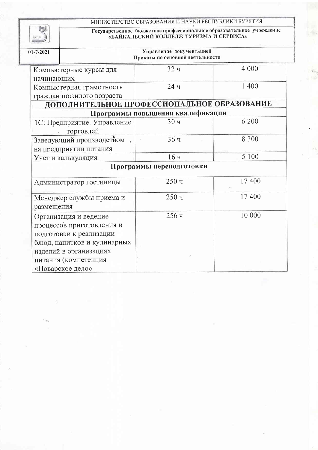

# Государственное бюджетное профессиональное образовательное учреждение «БАЙКАЛЬСКИЙ КОЛЛЕДЖ ТУРИЗМА И СЕРВИСА»

| 01-7/2021                |            | Управление документацией<br>Приказы по основной деятельности                                                                                                                       |                                             |         |  |
|--------------------------|------------|------------------------------------------------------------------------------------------------------------------------------------------------------------------------------------|---------------------------------------------|---------|--|
|                          | начинающих | Компьютерные курсы для                                                                                                                                                             | 32q                                         | 4 0 0 0 |  |
|                          |            | Компьютерная грамотность<br>граждан пожилого возраста                                                                                                                              | 24 <sub>4</sub>                             | 1 400   |  |
|                          |            |                                                                                                                                                                                    | ДОПОЛНИТЕЛЬНОЕ ПРОФЕССИОНАЛЬНОЕ ОБРАЗОВАНИЕ |         |  |
|                          |            |                                                                                                                                                                                    | Программы повышения квалификации            |         |  |
|                          |            | 1С: Предприятие. Управление<br>торговлей                                                                                                                                           | 30 <sub>4</sub>                             | 6 200   |  |
|                          |            | Заведующий производством<br>на предприятии питания                                                                                                                                 | 36ч                                         | 8 3 0 0 |  |
|                          |            | Учет и калькуляция                                                                                                                                                                 | 16 <sub>4</sub>                             | 5 100   |  |
| Программы переподготовки |            |                                                                                                                                                                                    |                                             |         |  |
|                          |            | Администратор гостиницы                                                                                                                                                            | 250ч                                        | 17 400  |  |
|                          | размещения | Менеджер службы приема и                                                                                                                                                           | 250ч                                        | 17 400  |  |
|                          |            | Организация и ведение<br>процессов приготовления и<br>подготовки к реализации<br>блюд, напитков и кулинарных<br>изделий в организациях<br>питания (компетенция<br>«Поварское дело» | 256 ч                                       | 10 000  |  |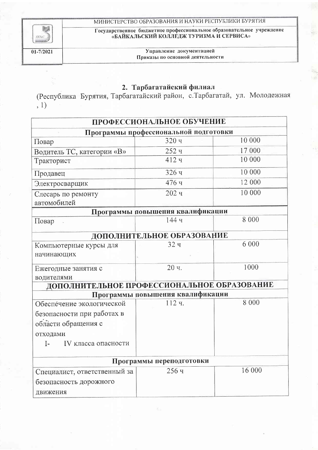

Государственное бюджетное профессиональное образовательное учреждение «БАЙКАЛЬСКИЙ КОЛЛЕДЖ ТУРИЗМА И СЕРВИСА»

Управление документацией Приказы по основной деятельности

## 2. Тарбагатайский филиал

(Республика Бурятия, Тарбагатайский район, с. Тарбагатай, ул. Молодежная  $, 1)$ 

| ПРОФЕССИОНАЛЬНОЕ ОБУЧЕНИЕ                                 |                                  |         |  |  |  |  |
|-----------------------------------------------------------|----------------------------------|---------|--|--|--|--|
| Программы профессиональной подготовки                     |                                  |         |  |  |  |  |
| Повар                                                     | 320 ч                            | 10 000  |  |  |  |  |
| Водитель ТС, категории «В»                                | 252 ч                            | 17 000  |  |  |  |  |
| Тракторист                                                | 412 ч                            | 10 000  |  |  |  |  |
| Продавец                                                  | 326 ч                            | 10 000  |  |  |  |  |
| Электросварщик                                            | 476 ч                            | 12 000  |  |  |  |  |
| Слесарь по ремонту<br>автомобилей                         | 202 ч                            | 10 000  |  |  |  |  |
|                                                           | Программы повышения квалификации |         |  |  |  |  |
| Повар                                                     | 144 ч                            | 8 0 0 0 |  |  |  |  |
|                                                           | ДОПОЛНИТЕЛЬНОЕ ОБРАЗОВАНИЕ       |         |  |  |  |  |
| Компьютерные курсы для                                    | 32ч                              | 6 0 0 0 |  |  |  |  |
| начинающих                                                |                                  |         |  |  |  |  |
| Ежегодные занятия с                                       | 20ч.                             | 1000    |  |  |  |  |
| водителями<br>ДОПОЛНИТЕЛЬНОЕ ПРОФЕССИОНАЛЬНОЕ ОБРАЗОВАНИЕ |                                  |         |  |  |  |  |
|                                                           | Программы повышения квалификации |         |  |  |  |  |
| Обеспечение экологической                                 | 112 ч.                           | 8 0 0 0 |  |  |  |  |
| безопасности при работах в                                |                                  |         |  |  |  |  |
| области обращения с                                       |                                  |         |  |  |  |  |
| отходами                                                  |                                  |         |  |  |  |  |
| $\overline{I}$<br>IV класса опасности                     |                                  |         |  |  |  |  |
|                                                           |                                  |         |  |  |  |  |
| Программы переподготовки                                  |                                  |         |  |  |  |  |
| Специалист, ответственный за                              | 256ч                             | 16 000  |  |  |  |  |
| безопасность дорожного                                    |                                  |         |  |  |  |  |
| движения                                                  |                                  |         |  |  |  |  |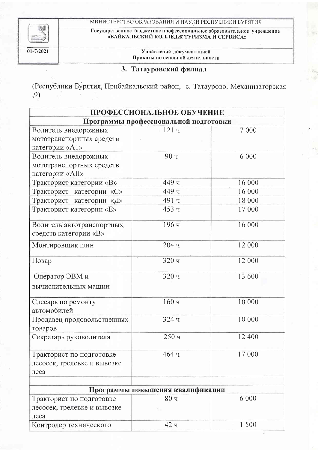**Ingl**  $\mathit{SKTMC}$ 

Государственное бюджетное профессиональное образовательное учреждение «БАЙКАЛЬСКИЙ КОЛЛЕДЖ ТУРИЗМА И СЕРВИСА»

 $\overline{01-7/2021}$ 

Управление документацией Приказы по основной деятельности

## 3. Татауровский филиал

(Республики Бурятия, Прибайкальский район, с. Татаурово, Механизаторская ,9)

| ПРОФЕССИОНАЛЬНОЕ ОБУЧЕНИЕ<br>Программы профессиональной подготовки |                 |         |  |  |
|--------------------------------------------------------------------|-----------------|---------|--|--|
|                                                                    |                 |         |  |  |
| мототранспортных средств                                           |                 |         |  |  |
| категории «A1»                                                     |                 |         |  |  |
| Водитель внедорожных                                               | 90 <sub>4</sub> | 6 0 0 0 |  |  |
| мототранспортных средств                                           |                 |         |  |  |
| категории «AII»                                                    |                 |         |  |  |
| Тракторист категории «В»                                           | 449 ч           | 16 000  |  |  |
| Тракторист категории «С»                                           | 449 ч           | 16 000  |  |  |
| Тракторист категории «Д»                                           | 491 ч           | 18 000  |  |  |
| Тракторист категории «Е»                                           | 453 ч           | 17 000  |  |  |
| Водитель автотранспортных                                          | 196 ч           | 16 000  |  |  |
| средств категории «В»                                              |                 |         |  |  |
| Монтировщик шин                                                    | 204 ч           | 12 000  |  |  |
|                                                                    |                 |         |  |  |
| Повар                                                              | 320 ч           | 12 000  |  |  |
|                                                                    |                 |         |  |  |
| Оператор ЭВМ и                                                     | 320 ч           | 13 600  |  |  |
| вычислительных машин                                               |                 |         |  |  |
| Слесарь по ремонту                                                 | 160 ч           | 10 000  |  |  |
| автомобилей                                                        |                 |         |  |  |
| Продавец продовольственных                                         | 324 ч           | 10 000  |  |  |
| товаров                                                            |                 |         |  |  |
| Секретарь руководителя                                             | 250ч            | 12 400  |  |  |
|                                                                    |                 |         |  |  |
| Тракторист по подготовке                                           | 464 ч           | 17 000  |  |  |
| лесосек, трелевке и вывозке                                        |                 |         |  |  |
| леса                                                               |                 |         |  |  |
|                                                                    |                 |         |  |  |
| Программы повышения квалификации                                   |                 |         |  |  |
| Тракторист по подготовке                                           | 80 ч            | 6 0 0 0 |  |  |
| лесосек, трелевке и вывозке                                        |                 |         |  |  |
| леса                                                               |                 |         |  |  |
| Контролер технического                                             | 42 <sub>4</sub> | 1 500   |  |  |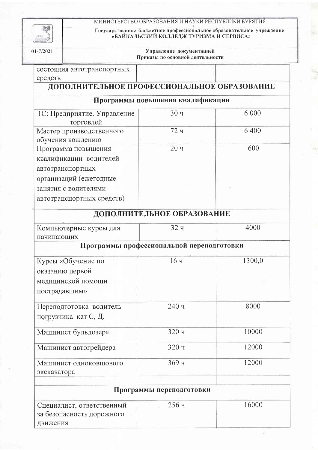**ball** À  $_{\rm \mathit{SKTs2}}$ 

Государственное бюджетное профессиональное образовательное учреждение «БАЙКАЛЬСКИЙ КОЛЛЕДЖ ТУРИЗМА И СЕРВИСА»

| Управление документацией<br>01-7/2021<br>Приказы по основной деятельности |                                                        |                                  |        |
|---------------------------------------------------------------------------|--------------------------------------------------------|----------------------------------|--------|
|                                                                           | состояния автотранспортных                             |                                  |        |
| средств                                                                   |                                                        |                                  |        |
|                                                                           | ДОПОЛНИТЕЛЬНОЕ ПРОФЕССИОНАЛЬНОЕ ОБРАЗОВАНИЕ            |                                  |        |
|                                                                           |                                                        | Программы повышения квалификации |        |
|                                                                           | 1С: Предприятие. Управление<br>торговлей               | 30 <sub>Y</sub>                  | 6 000  |
|                                                                           | Мастер производственного<br>обучения вождению          | 72 ч                             | 6 400  |
|                                                                           | Программа повышения                                    | 20 <sub>q</sub>                  | 600    |
|                                                                           | квалификации водителей                                 |                                  |        |
|                                                                           | автотранспортных                                       |                                  |        |
|                                                                           | организаций (ежегодные                                 |                                  |        |
|                                                                           | занятия с водителями                                   |                                  |        |
|                                                                           | автотранспортных средств)                              |                                  |        |
|                                                                           |                                                        | ДОПОЛНИТЕЛЬНОЕ ОБРАЗОВАНИЕ       |        |
|                                                                           | Компьютерные курсы для                                 | 32 ч                             | 4000   |
| начинающих                                                                |                                                        |                                  |        |
|                                                                           | Программы профессиональной переподготовки              |                                  |        |
|                                                                           | Курсы «Обучение по                                     | 16 <sub>4</sub>                  | 1300,0 |
|                                                                           | оказанию первой                                        |                                  |        |
|                                                                           | медицинской помощи                                     |                                  |        |
| пострадавшим»                                                             |                                                        |                                  |        |
|                                                                           | Переподготовка водитель                                | 240 ч                            | 8000   |
|                                                                           | погрузчика кат С, Д.                                   |                                  |        |
|                                                                           |                                                        |                                  |        |
|                                                                           | Машинист бульдозера                                    | 320 ч                            | 10000  |
|                                                                           | Машинист автогрейдера                                  | 320 ч                            | 12000  |
|                                                                           | Машинист одноковшового                                 | 369 ч                            | 12000  |
| экскаватора                                                               |                                                        |                                  |        |
|                                                                           |                                                        | Программы переподготовки         |        |
| движения                                                                  | Специалист, ответственный<br>за безопасность дорожного | 256 ч                            | 16000  |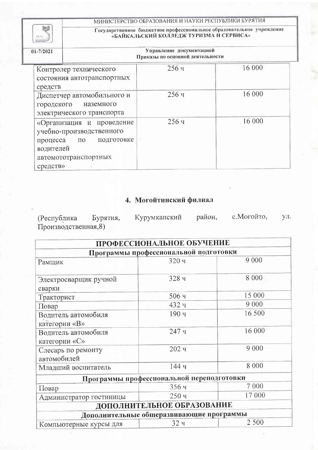

Государственное бюджетное профессиональное образовательное учреждение «БАЙКАЛЬСКИЙ КОЛЛЕДЖ ТУРИЗМА И СЕРВИСА»

| $01 - 7/2021$                     |                                                                                                       | Управление документацией<br>Приказы по основной деятельности |        |
|-----------------------------------|-------------------------------------------------------------------------------------------------------|--------------------------------------------------------------|--------|
| средств                           | Контролер технического<br>состояния автотранспортных                                                  | $256$ ч                                                      | 16 000 |
| городского                        | Диспетчер автомобильного и<br>наземного<br>электрического транспорта                                  | $256$ ч                                                      | 16 000 |
| процесса<br>водителей<br>средств» | «Организация и проведение<br>учебно-производственного<br>подготовке<br>$\Box$<br>автомототранспортных | 256y                                                         | 16000  |

## 4. Могойтинский филиал

Курумканский с. Могойто, район, (Республика Бурятия, yл. Производственная, 8)

| ПРОФЕССИОНАЛЬНОЕ ОБУЧЕНИЕ<br>Программы профессиональной подготовки |                                           |         |  |  |
|--------------------------------------------------------------------|-------------------------------------------|---------|--|--|
|                                                                    |                                           |         |  |  |
| Электросварщик ручной<br>сварки                                    | 328 ч                                     | 8 0 0 0 |  |  |
| Тракторист                                                         | 506 ч                                     | 15 000  |  |  |
| Повар                                                              | 432 ч                                     | 9 0 0 0 |  |  |
| Водитель автомобиля<br>категории «В»                               | 190 ч                                     | 16 500  |  |  |
| Водитель автомобиля<br>категории «С»                               | 247 ч                                     | 16 000  |  |  |
| Слесарь по ремонту<br>автомобилей                                  | 202 ч                                     | 9 0 0 0 |  |  |
| Младший воспитатель                                                | 144 ч                                     | 8 0 0 0 |  |  |
|                                                                    | Программы профессиональной переподготовки |         |  |  |
| Повар                                                              | 356 ч                                     | 7 0 0 0 |  |  |
| Администратор гостиницы                                            | 250 ч                                     | 17 000  |  |  |
|                                                                    | ДОПОЛНИТЕЛЬНОЕ ОБРАЗОВАНИЕ                |         |  |  |
|                                                                    | Дополнительные общеразвивающие программы  |         |  |  |
| Компьютерные курсы для                                             | 32ч                                       | 2 500   |  |  |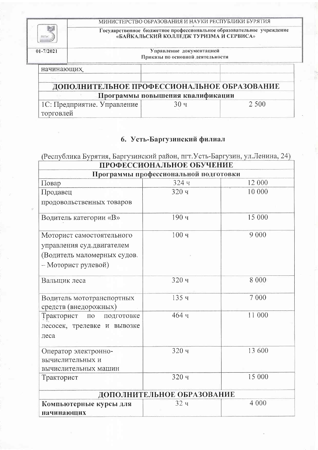|               | МИНИСТЕРСТВО ОБРАЗОВАНИЯ И НАУКИ РЕСПУБЛИКИ БУРЯТИЯ                                                           |                                                              |       |
|---------------|---------------------------------------------------------------------------------------------------------------|--------------------------------------------------------------|-------|
| <b>BKTHE</b>  | Государственное бюджетное профессиональное образовательное учреждение «БАЙКАЛЬСКИЙ КОЛЛЕДЖ ТУРИЗМА И СЕРВИСА» |                                                              |       |
| $01 - 7/2021$ |                                                                                                               | Управление документацией<br>Приказы по основной деятельности |       |
| начинающих    |                                                                                                               |                                                              |       |
|               |                                                                                                               |                                                              |       |
|               | ДОПОЛНИТЕЛЬНОЕ ПРОФЕССИОНАЛЬНОЕ ОБРАЗОВАНИЕ                                                                   |                                                              |       |
|               |                                                                                                               | Программы повышения квалификации                             |       |
|               | 1С: Предприятие. Управление                                                                                   | 30q                                                          | 2 500 |
| торговлей     |                                                                                                               |                                                              |       |

## 6. Усть-Баргузинский филиал

(Республика Бурятия, Баргузинский район, пгт. Усть-Баргузин, ул. Ленина, 24)

| ПРОФЕССИОНАЛЬНОЕ ОБУЧЕНИЕ                                                                                    |       |         |  |  |
|--------------------------------------------------------------------------------------------------------------|-------|---------|--|--|
| Программы профессиональной подготовки                                                                        |       |         |  |  |
| Повар                                                                                                        | 324 ч | 12 000  |  |  |
| Продавец                                                                                                     | 320 ч | 10 000  |  |  |
| продовольственных товаров                                                                                    |       |         |  |  |
| Водитель категории «В»                                                                                       | 190ч  | 15 000  |  |  |
| Моторист самостоятельного<br>управления суд.двигателем<br>(Водитель маломерных судов.<br>- Моторист рулевой) | 100 ч | 9 0 0 0 |  |  |
| Вальщик леса                                                                                                 | 320 ч | 8 0 0 0 |  |  |
| Водитель мототранспортных<br>средств (внедорожных)                                                           | 135 ч | 7 0 0 0 |  |  |
| Тракторист<br>$\Pi{\rm O}$<br>подготовке<br>лесосек, трелевке и вывозке<br>леса                              | 464 ч | 11 000  |  |  |
| Оператор электронно-<br>вычислительных и<br>вычислительных машин                                             | 320 ч | 13 600  |  |  |
| Тракторист                                                                                                   | 320 ч | 15 000  |  |  |
| ДОПОЛНИТЕЛЬНОЕ ОБРАЗОВАНИЕ                                                                                   |       |         |  |  |
| Компьютерные курсы для<br>начинающих                                                                         | 32ч   | 4 0 0 0 |  |  |